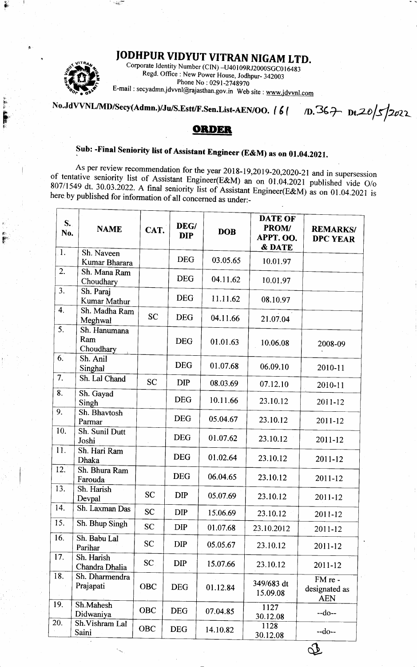## JODHPUR VIDYUT VITRAN NIGAM LTD.



Corporate Identity Number (CIN)  $-140109RJ2000SGC016483$ Regd. Office : New Power House, Jodhpur- 342003 Phone No: 0291-2748970 E-mail: secyadmn.jdvvnl@rajasthan.gov.in Web site: www.jdvvnl.com

No.JdVVNL/MD/Secy(Admn.)/Ju/S.Estt/F.Sen.List-AEN/OO. | 6 |  $10.367$   $0t.205/2022$ 

## ORDER

## Sub: -Final Seniority list of Assistant Engineer (E&M) as on 01.04.2021.

As per review recommendation for the year 2018-19,2019-20,2020-21 and in supersession of tentative seniority list of Assistant Engineer(E&M) an on 01.04.2021 published vide O/o 807/1549 dt. 30.03.2022. A final seniority list of Assistant Engineer(E&M) as on 01.04.2021 is here by published for information of all concerned as under:-

| $S_{\bullet}$<br>No. | <b>NAME</b>                      | CAT.       | DEG/<br><b>DIP</b> | <b>DOB</b> | <b>DATE OF</b><br><b>PROM/</b><br>APPT. OO.<br>& DATE | <b>REMARKS/</b><br><b>DPC YEAR</b>     |
|----------------------|----------------------------------|------------|--------------------|------------|-------------------------------------------------------|----------------------------------------|
| $\mathbf{1}$ .       | Sh. Naveen<br>Kumar Bharara      |            | <b>DEG</b>         | 03.05.65   | 10.01.97                                              |                                        |
| 2.                   | Sh. Mana Ram<br>Choudhary        |            | <b>DEG</b>         | 04.11.62   | 10.01.97                                              |                                        |
| 3.                   | Sh. Paraj<br>Kumar Mathur        |            | <b>DEG</b>         | 11.11.62   | 08.10.97                                              |                                        |
| 4.                   | Sh. Madha Ram<br>Meghwal         | <b>SC</b>  | <b>DEG</b>         | 04.11.66   | 21.07.04                                              |                                        |
| 5.                   | Sh. Hanumana<br>Ram<br>Choudhary |            | <b>DEG</b>         | 01.01.63   | 10.06.08                                              | 2008-09                                |
| 6.                   | Sh. Anil<br>Singhal              |            | <b>DEG</b>         | 01.07.68   | 06.09.10                                              | 2010-11                                |
| 7.                   | Sh. Lal Chand                    | <b>SC</b>  | <b>DIP</b>         | 08.03.69   | 07.12.10                                              | 2010-11                                |
| 8.                   | Sh. Gayad<br>Singh               |            | <b>DEG</b>         | 10.11.66   | 23.10.12                                              | 2011-12                                |
| 9.                   | Sh. Bhavtosh<br>Parmar           |            | <b>DEG</b>         | 05.04.67   | 23.10.12                                              | 2011-12                                |
| 10.                  | Sh. Sunil Dutt<br>Joshi          |            | <b>DEG</b>         | 01.07.62   | 23.10.12                                              | 2011-12                                |
| 11.                  | Sh. Hari Ram<br>Dhaka            |            | <b>DEG</b>         | 01.02.64   | 23.10.12                                              | 2011-12                                |
| 12.                  | Sh. Bhura Ram<br>Farouda         |            | <b>DEG</b>         | 06.04.65   | 23.10.12                                              | 2011-12                                |
| 13.                  | Sh. Harish<br>Devpal             | <b>SC</b>  | <b>DIP</b>         | 05.07.69   | 23.10.12                                              | 2011-12                                |
| 14.                  | Sh. Laxman Das                   | <b>SC</b>  | <b>DIP</b>         | 15.06.69   | 23.10.12                                              | 2011-12                                |
| 15.                  | Sh. Bhup Singh                   | <b>SC</b>  | <b>DIP</b>         | 01.07.68   | 23.10.2012                                            | 2011-12                                |
| 16.                  | Sh. Babu Lal<br>Parihar          | <b>SC</b>  | <b>DIP</b>         | 05.05.67   | 23.10.12                                              | 2011-12                                |
| 17.                  | Sh. Harish<br>Chandra Dhalia     | SC         | <b>DIP</b>         | 15.07.66   | 23.10.12                                              | 2011-12                                |
| 18.                  | Sh. Dharmendra<br>Prajapati      | <b>OBC</b> | <b>DEG</b>         | 01.12.84   | 349/683 dt<br>15.09.08                                | FM re -<br>designated as<br><b>AEN</b> |
| 19.                  | Sh.Mahesh<br>Didwaniya           | OBC        | <b>DEG</b>         | 07.04.85   | 1127<br>30.12.08                                      | $-do-$                                 |
| 20.                  | Sh. Vishram Lal<br>Saini         | OBC        | <b>DEG</b>         | 14.10.82   | 1128<br>30.12.08                                      | $-do-$                                 |

<u>St</u>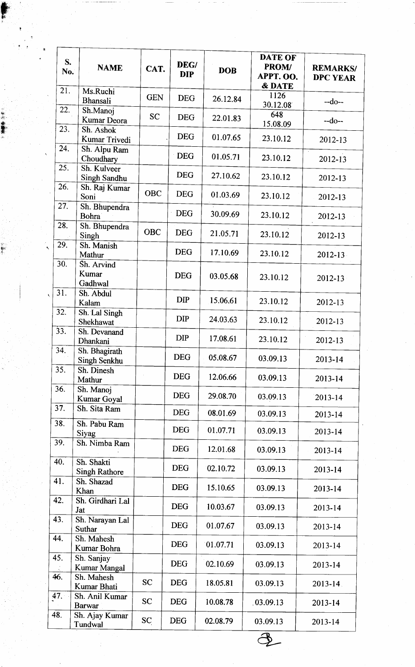|     | S.<br>No. | <b>NAME</b>                         | CAT.       | DEG/<br><b>DIP</b> | <b>DOB</b> | <b>DATE OF</b><br>PROM/<br>APPT. OO.<br><b>&amp; DATE</b> | <b>REMARKS/</b><br><b>DPC YEAR</b> |
|-----|-----------|-------------------------------------|------------|--------------------|------------|-----------------------------------------------------------|------------------------------------|
|     | 21.       | Ms.Ruchi<br>Bhansali                | <b>GEN</b> | <b>DEG</b>         | 26.12.84   | 1126<br>30.12.08                                          | $-do-$                             |
|     | 22.       | Sh.Manoj<br>Kumar Deora             | <b>SC</b>  | <b>DEG</b>         | 22.01.83   | 648<br>15.08.09                                           | $-do-$                             |
|     | 23.       | Sh. Ashok<br>Kumar Trivedi          |            | <b>DEG</b>         | 01.07.65   | 23.10.12                                                  | 2012-13                            |
|     | 24.       | Sh. Alpu Ram<br>Choudhary           |            | <b>DEG</b>         | 01.05.71   | 23.10.12                                                  | 2012-13                            |
|     | 25.       | Sh. Kulveer<br>Singh Sandhu         |            | <b>DEG</b>         | 27.10.62   | 23.10.12                                                  | 2012-13                            |
|     | 26.       | Sh. Raj Kumar<br>Soni               | <b>OBC</b> | <b>DEG</b>         | 01.03.69   | 23.10.12                                                  | 2012-13                            |
|     | 27.       | Sh. Bhupendra<br>Bohra <sup>®</sup> |            | <b>DEG</b>         | 30.09.69   | 23.10.12                                                  | 2012-13                            |
|     | 28.       | Sh. Bhupendra<br>Singh              | <b>OBC</b> | <b>DEG</b>         | 21.05.71   | 23.10.12                                                  | 2012-13                            |
|     | 29.       | Sh. Manish<br>Mathur                |            | <b>DEG</b>         | 17.10.69   | 23.10.12                                                  | 2012-13                            |
|     | 30.       | Sh. Arvind<br>Kumar<br>Gadhwal      |            | <b>DEG</b>         | 03.05.68   | 23.10.12                                                  | 2012-13                            |
|     | 31.       | Sh. Abdul<br>Kalam                  |            | <b>DIP</b>         | 15.06.61   | 23.10.12                                                  | 2012-13                            |
|     | 32.       | Sh. Lal Singh<br>Shekhawat          |            | <b>DIP</b>         | 24.03.63   | 23.10.12                                                  | 2012-13                            |
|     | 33.       | Sh. Devanand<br>Dhankani            |            | <b>DIP</b>         | 17.08.61   | 23.10.12                                                  | 2012-13                            |
|     | 34.       | Sh. Bhagirath<br>Singh Senkhu       |            | <b>DEG</b>         | 05.08.67   | 03.09.13                                                  | 2013-14                            |
|     | 35.       | Sh. Dinesh<br>Mathur                |            | <b>DEG</b>         | 12.06.66   | 03.09.13                                                  | 2013-14                            |
|     | 36.       | Sh. Manoj<br>Kumar Goyal            |            | <b>DEG</b>         | 29.08.70   | 03.09.13                                                  | 2013-14                            |
|     | 37.       | Sh. Sita Ram                        |            | <b>DEG</b>         | 08.01.69   | 03.09.13                                                  | 2013-14                            |
|     | 38.       | Sh. Pabu Ram<br>Siyag               |            | <b>DEG</b>         | 01.07.71   | 03.09.13                                                  | 2013-14                            |
|     | 39.       | Sh. Nimba Ram                       |            | <b>DEG</b>         | 12.01.68   | 03.09.13                                                  | 2013-14                            |
|     | 40.       | Sh. Shakti<br><b>Singh Rathore</b>  |            | <b>DEG</b>         | 02.10.72   | 03.09.13                                                  | 2013-14                            |
|     | 41.       | Sh. Shazad<br>Khan                  |            | <b>DEG</b>         | 15.10.65   | 03.09.13                                                  | 2013-14                            |
|     | 42.       | Sh. Girdhari Lal<br>Jat             |            | <b>DEG</b>         | 10.03.67   | 03.09.13                                                  | 2013-14                            |
| 43. |           | Sh. Narayan Lal<br>Suthar           |            | <b>DEG</b>         | 01.07.67   | 03.09.13                                                  | 2013-14                            |
| 44. |           | Sh. Mahesh<br>Kumar Bohra           |            | <b>DEG</b>         | 01.07.71   | 03.09.13                                                  | 2013-14                            |
| 45. |           | Sh. Sanjay<br>Kumar Mangal          |            | <b>DEG</b>         | 02.10.69   | 03.09.13                                                  | 2013-14                            |
| 46. |           | Sh. Mahesh<br>Kumar Bhati           | <b>SC</b>  | <b>DEG</b>         | 18.05.81   | 03.09.13                                                  | $2013 - 14$ .                      |
| 47. |           | Sh. Anil Kumar<br><b>Barwar</b>     | <b>SC</b>  | <b>DEG</b>         | 10.08.78   | .03.09.13                                                 | 2013-14                            |
| 48. |           | Sh. Ajay Kumar<br>Tundwal           | SC         | <b>DEG</b>         | 02.08.79   | 03.09.13                                                  | 2013-14                            |
|     |           |                                     |            |                    |            |                                                           |                                    |

r

an<br>S j:11 tlt. Fi: .n

'iir '&!. ,1.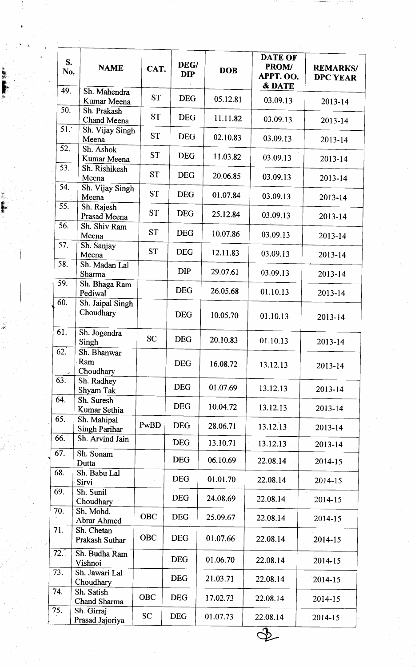|      | S.<br>No. | <b>NAME</b>                         | CAT.       | DEG/<br><b>DIP</b> | <b>DOB</b> | <b>DATE OF</b><br><b>PROM/</b><br>APPT. OO.<br>& DATE | <b>REMARKS/</b><br><b>DPC YEAR</b> |
|------|-----------|-------------------------------------|------------|--------------------|------------|-------------------------------------------------------|------------------------------------|
|      | 49.       | Sh. Mahendra<br>Kumar Meena         | <b>ST</b>  | <b>DEG</b>         | 05.12.81   | 03.09.13                                              | 2013-14                            |
|      | 50.       | Sh. Prakash<br>Chand Meena          | <b>ST</b>  | <b>DEG</b>         | 11.11.82   | 03.09.13                                              | 2013-14                            |
|      | 51.1      | Sh. Vijay Singh<br>Meena            | <b>ST</b>  | <b>DEG</b>         | 02.10.83   | 03.09.13                                              | $2013 - 14$                        |
|      | 52.       | Sh. Ashok<br>Kumar Meena            | <b>ST</b>  | <b>DEG</b>         | 11.03.82   | 03.09.13                                              | 2013-14                            |
|      | 53.       | Sh. Rishikesh<br>Meena              | <b>ST</b>  | <b>DEG</b>         | 20.06.85   | 03.09.13                                              | 2013-14                            |
|      | 54.       | Sh. Vijay Singh<br>Meena            | <b>ST</b>  | <b>DEG</b>         | 01.07.84   | 03.09.13                                              | 2013-14                            |
|      | 55.       | Sh. Rajesh<br>Prasad Meena          | <b>ST</b>  | <b>DEG</b>         | 25.12.84   | 03.09.13                                              | 2013-14                            |
|      | 56.       | Sh. Shiv Ram<br>Meena               | <b>ST</b>  | <b>DEG</b>         | 10.07.86   | 03.09.13                                              | $2013 - 14$                        |
|      | 57.       | Sh. Sanjay<br>Meena                 | <b>ST</b>  | <b>DEG</b>         | 12.11.83   | 03.09.13                                              | 2013-14                            |
|      | 58.       | Sh. Madan Lal<br>Sharma             |            | <b>DIP</b>         | 29.07.61   | 03.09.13                                              | 2013-14                            |
|      | 59.       | Sh. Bhaga Ram<br>Pediwal            |            | <b>DEG</b>         | 26.05.68   | 01.10.13                                              | 2013-14                            |
|      | 60.       | Sh. Jaipal Singh<br>Choudhary       |            | <b>DEG</b>         | 10.05.70   | 01.10.13                                              | 2013-14                            |
|      | 61.       | Sh. Jogendra<br>Singh               | <b>SC</b>  | <b>DEG</b>         | 20.10.83   | 01.10.13                                              | 2013-14                            |
|      | 62.       | Sh. Bhanwar<br>Ram<br>Choudhary     |            | <b>DEG</b>         | 16.08.72   | 13.12.13                                              | 2013-14                            |
| 63.  |           | Sh. Radhey<br>Shyam Tak             |            | <b>DEG</b>         | 01.07.69   | 13.12.13                                              | 2013-14                            |
| 64.  |           | Sh. Suresh<br>Kumar Sethia          |            | <b>DEG</b>         | 10.04.72   | 13.12.13                                              | 2013-14                            |
|      | 65.       | Sh. Mahipal<br><b>Singh Parihar</b> | PwBD       | <b>DEG</b>         | 28.06.71   | 13.12.13                                              | 2013-14                            |
| 66.  |           | Sh. Arvind Jain                     |            | <b>DEG</b>         | 13.10.71   | 13.12.13                                              | 2013-14                            |
| 67.  |           | Sh. Sonam<br>Dutta                  |            | <b>DEG</b>         | 06.10.69   | 22.08.14                                              | 2014-15                            |
| 68.  |           | Sh. Babu Lal<br>Sirvi               |            | <b>DEG</b>         | 01.01.70   | 22.08.14                                              | 2014-15                            |
| 69.  |           | Sh. Sunil<br>Choudhary              |            | <b>DEG</b>         | 24.08.69   | 22.08.14                                              | 2014-15                            |
| 70.  |           | Sh. Mohd.<br>Abrar Ahmed            | <b>OBC</b> | <b>DEG</b>         | 25.09.67   | 22.08.14                                              | 2014-15                            |
| 71.  |           | Sh. Chetan<br><b>Prakash Suthar</b> | <b>OBC</b> | <b>DEG</b>         | 01.07.66   | 22.08.14                                              | 2014-15                            |
| 72.7 |           | Sh. Budha Ram<br>Vishnoi            |            | <b>DEG</b>         | 01.06.70   | 22.08.14                                              | $2014 - 15$                        |
| 73.  |           | Sh. Jawari Lal<br>Choudhary         |            | <b>DEG</b>         | 21.03.71   | 22.08.14                                              | 2014-15                            |
| 74.  |           | Sh. Satish<br>Chand Sharma          | <b>OBC</b> | <b>DEG</b>         | 17.02.73   | 22.08.14                                              | 2014-15                            |
| 75.  |           | Sh. Girraj<br>Prasad Jajoriya       | <b>SC</b>  | <b>DEG</b>         | 01.07.73   | 22.08.14                                              | 2014-15                            |
|      |           |                                     |            |                    |            |                                                       |                                    |

 $\mathbf{r}$ 

Fdr,

ll, hr' fl!

li.. hts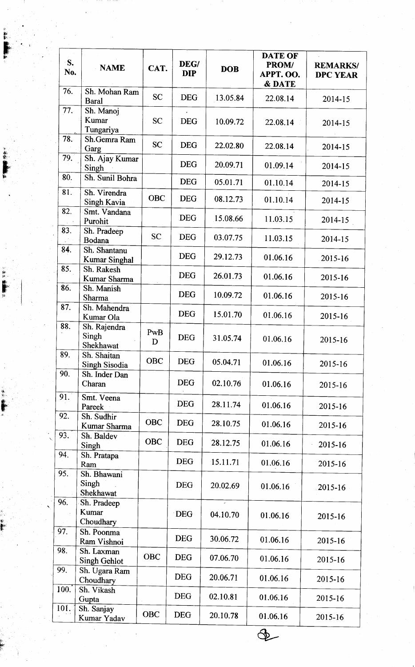| S.<br>No. | <b>NAME</b>                          | CAT.       | DEG/<br><b>DIP</b> | <b>DOB</b> | <b>DATE OF</b><br>PROM/<br>APPT. OO.<br>& DATE | <b>REMARKS/</b><br><b>DPC YEAR</b> |
|-----------|--------------------------------------|------------|--------------------|------------|------------------------------------------------|------------------------------------|
| 76.       | Sh. Mohan Ram<br><b>Baral</b>        | <b>SC</b>  | <b>DEG</b>         | 13.05.84   | 22.08.14                                       | 2014-15                            |
| 77.       | Sh. Manoj<br>Kumar<br>Tungariya      | <b>SC</b>  | <b>DEG</b>         | 10.09.72   | 22.08.14                                       | 2014-15                            |
| 78.       | Sh.Gemra Ram<br>Garg                 | <b>SC</b>  | <b>DEG</b>         | 22.02.80   | 22.08.14                                       | 2014-15                            |
| 79.       | Sh. Ajay Kumar<br>Singh              |            | <b>DEG</b>         | 20.09.71   | 01.09.14                                       | 2014-15                            |
| 80.       | Sh. Sunil Bohra                      |            | <b>DEG</b>         | 05.01.71   | 01.10.14                                       | 2014-15                            |
| 81.       | Sh. Virendra<br>Singh Kavia          | <b>OBC</b> | <b>DEG</b>         | 08.12.73   | 01.10.14                                       | 2014-15                            |
| 82.       | Smt. Vandana<br>Purohit              |            | <b>DEG</b>         | 15.08.66   | 11.03.15                                       | 2014-15                            |
| 83.       | Sh. Pradeep<br>Bodana                | <b>SC</b>  | <b>DEG</b>         | 03.07.75   | 11.03.15                                       | 2014-15                            |
| 84.       | Sh. Shantanu<br><b>Kumar Singhal</b> |            | <b>DEG</b>         | 29.12.73   | 01.06.16                                       | 2015-16                            |
| 85.       | Sh. Rakesh<br>Kumar Sharma           |            | <b>DEG</b>         | 26.01.73   | 01.06.16                                       | 2015-16                            |
| 86.       | Sh. Manish<br>Sharma                 |            | <b>DEG</b>         | 10.09.72   | 01.06.16                                       | 2015-16                            |
| 87.       | Sh. Mahendra<br>Kumar Ola            |            | <b>DEG</b>         | 15.01.70   | 01.06.16                                       | 2015-16                            |
| 88.       | Sh. Rajendra<br>Singh<br>Shekhawat   | PwB<br>D   | <b>DEG</b>         | 31.05.74   | 01.06.16                                       | 2015-16                            |
| 89.       | Sh. Shaitan<br>Singh Sisodia         | OBC        | <b>DEG</b>         | 05.04.71   | 01.06.16                                       | 2015-16                            |
| 90.       | Sh. Inder Dan<br>Charan              |            | <b>DEG</b>         | 02.10.76   | 01.06.16                                       | 2015-16                            |
| 91.       | Smt. Veena<br>Pareek                 |            | <b>DEG</b>         | 28.11.74   | 01.06.16                                       | 2015-16                            |
| 92.       | Sh. Sudhir<br>Kumar Sharma           | <b>OBC</b> | <b>DEG</b>         | 28.10.75   | 01.06.16                                       | 2015-16                            |
| 93.       | Sh. Baldev<br>Singh                  | OBC        | <b>DEG</b>         | 28.12.75   | 01.06.16                                       | 2015-16                            |
| 94.       | Sh. Pratapa<br>Ram                   |            | <b>DEG</b>         | 15.11.71   | 01.06.16                                       | 2015-16                            |
| 95.       | Sh. Bhawani<br>Singh<br>Shekhawat    |            | <b>DEG</b>         | 20.02.69   | 01.06.16                                       | 2015-16                            |
| 96.       | Sh. Pradeep<br>Kumar<br>Choudhary    |            | <b>DEG</b>         | 04.10.70   | 01.06.16                                       | 2015-16                            |
| 97.       | Sh. Poonma<br>Ram Vishnoi            |            | <b>DEG</b>         | 30.06.72   | 01.06.16                                       | 2015-16                            |
| 98.       | Sh. Laxman<br><b>Singh Gehlot</b>    | <b>OBC</b> | <b>DEG</b>         | 07.06.70   | 01.06.16                                       | 2015-16                            |
| 99.       | Sh. Ugara Ram<br>Choudhary           |            | <b>DEG</b>         | 20.06.71   | 01.06.16                                       | 2015-16                            |
| 100.      | Sh. Vikash<br>Gupta                  |            | <b>DEG</b>         | 02.10.81   | 01.06.16                                       | 2015-16                            |
| 101.      | Sh. Sanjay<br>Kumar Yadav            | <b>OBC</b> | <b>DEG</b>         | 20.10.78   | 01.06.16                                       | 2015-16                            |
|           |                                      |            |                    |            |                                                |                                    |

rl ' ti,  $\mathbf{r}$ 

F

fi  $\mathbf{r}$  . p

\$1 iir. fir ff'' It

rt  $\ddot{\bullet}$ 

dr' v'

tl,r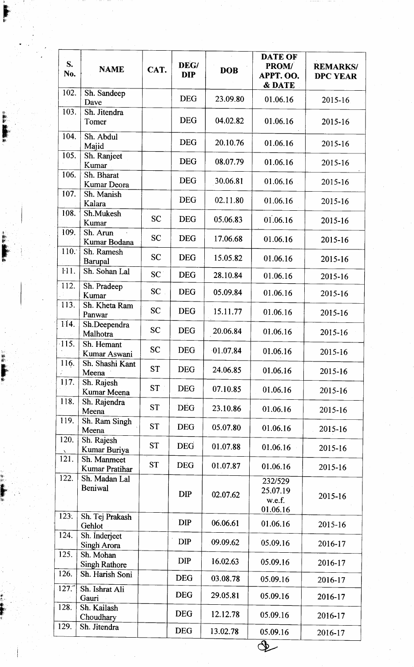| S.<br>No.    | <b>NAME</b>                     | CAT.      | DEG/<br><b>DIP</b> | <b>DOB</b> | <b>DATE OF</b><br><b>PROM/</b><br>APPT. OO.<br>& DATE | <b>REMARKS/</b><br><b>DPC YEAR</b> |
|--------------|---------------------------------|-----------|--------------------|------------|-------------------------------------------------------|------------------------------------|
| 102.         | Sh. Sandeep<br>Dave             |           | <b>DEG</b>         | 23.09.80   | 01.06.16                                              | 2015-16                            |
| 103.         | Sh. Jitendra<br>Tomer           |           | <b>DEG</b>         | 04.02.82   | 01.06.16                                              | 2015-16                            |
| 104.         | Sh. Abdul<br>Majid              |           | <b>DEG</b>         | 20.10.76   | 01.06.16                                              | 2015-16                            |
| 105.         | Sh. Ranjeet<br>Kumar            |           | <b>DEG</b>         | 08.07.79   | 01.06.16                                              | 2015-16                            |
| 106.         | Sh. Bharat<br>Kumar Deora       |           | <b>DEG</b>         | 30.06.81   | 01.06.16                                              | 2015-16                            |
| 107.         | Sh. Manish<br>Kalara            |           | <b>DEG</b>         | 02.11.80   | 01.06.16                                              | 2015-16                            |
| 108.         | Sh.Mukesh<br>Kumar              | <b>SC</b> | <b>DEG</b>         | 05.06.83   | 01.06.16                                              | 2015-16                            |
| 109.         | Sh. Arun<br>Kumar Bodana        | <b>SC</b> | <b>DEG</b>         | 17.06.68   | 01.06.16                                              | 2015-16                            |
| 110.7        | Sh. Ramesh<br>Barupal           | <b>SC</b> | <b>DEG</b>         | 15.05.82   | 01.06.16                                              | 2015-16                            |
| <b>111.</b>  | Sh. Sohan Lal                   | SC        | <b>DEG</b>         | 28.10.84   | 01.06.16                                              | 2015-16                            |
| 112.         | Sh. Pradeep<br>Kumar            | <b>SC</b> | <b>DEG</b>         | 05.09.84   | 01.06.16                                              | 2015-16                            |
| 113.         | Sh. Kheta Ram<br>Panwar         | <b>SC</b> | <b>DEG</b>         | 15.11.77   | 01.06.16                                              | 2015-16                            |
| 114.         | Sh.Deependra<br>Malhotra        | <b>SC</b> | <b>DEG</b>         | 20.06.84   | 01.06.16                                              | 2015-16                            |
| $-115.$      | Sh. Hemant<br>Kumar Aswani      | <b>SC</b> | <b>DEG</b>         | 01.07.84   | 01.06.16                                              | 2015-16                            |
| 116.         | Sh. Shashi Kant<br>Meena        | <b>ST</b> | <b>DEG</b>         | 24.06.85   | 01.06.16                                              | 2015-16                            |
| 117.         | Sh. Rajesh<br>Kumar Meena       | <b>ST</b> | <b>DEG</b>         | 07.10.85   | 01.06.16                                              | 2015-16                            |
| 118.         | Sh. Rajendra<br>Meena           | <b>ST</b> | <b>DEG</b>         | 23.10.86   | 01.06.16                                              | 2015-16                            |
| 119.<br>120. | Sh. Ram Singh<br>Meena          | <b>ST</b> | <b>DEG</b>         | 05.07.80   | 01.06.16                                              | 2015-16                            |
| N<br>121.    | Sh. Rajesh<br>Kumar Buriya      | <b>ST</b> | <b>DEG</b>         | 01.07.88   | 01.06.16                                              | 2015-16                            |
| 122.         | Sh. Manmeet<br>Kumar Pratihar   | <b>ST</b> | <b>DEG</b>         | 01.07.87   | 01.06.16                                              | 2015-16                            |
|              | Sh. Madan Lal<br><b>Beniwal</b> |           | <b>DIP</b>         | 02.07.62   | 232/529<br>25.07.19                                   | 2015-16                            |
| 123.         | Sh. Tej Prakash                 |           |                    |            | w.e.f.<br>01.06.16                                    |                                    |
|              | Gehlot                          |           | <b>DIP</b>         | 06.06.61   | 01.06.16                                              | 2015-16                            |
| 124.         | Sh. Inderjeet<br>Singh Arora    |           | <b>DIP</b>         | 09.09.62   | 05.09.16                                              | 2016-17                            |
| 125.         | Sh. Mohan<br>Singh Rathore      |           | <b>DIP</b>         | 16.02.63   | 05.09.16                                              | 2016-17                            |
| 126.         | Sh. Harish Soni                 |           | <b>DEG</b>         | 03.08.78   | 05.09.16                                              | 2016-17                            |
| 127.7        | Sh. Ishrat Ali<br>Gauri         |           | <b>DEG</b>         | 29.05.81   | 05.09.16                                              | 2016-17                            |
| 128.         | Sh. Kailash<br>Choudhary        |           | <b>DEG</b>         | 12.12.78   | 05.09.16                                              | 2016-17                            |
| 129.         | Sh. Jitendra                    |           | <b>DEG</b>         | 13.02.78   | 05.09.16                                              | 2016-17                            |
|              |                                 |           |                    |            |                                                       |                                    |

l, Ir' Fh

m, flr  $\blacksquare$ 

[,tt'

F.

tl \$tl l\*: F ii,

r

4i ir' \*  $\blacksquare$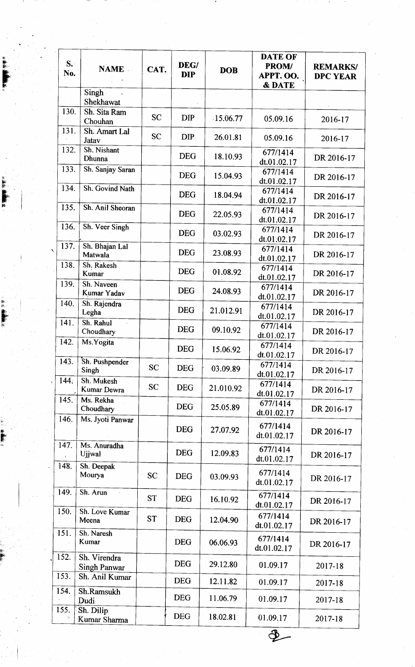| $S_{\cdot}$<br>No. | <b>NAME</b>                         | CAT.      | DEG/<br><b>DIP</b> | <b>DOB</b>  | <b>DATE OF</b><br>PROM/<br>APPT. OO.<br>& DATE | <b>REMARKS/</b><br><b>DPC YEAR</b> |
|--------------------|-------------------------------------|-----------|--------------------|-------------|------------------------------------------------|------------------------------------|
|                    | Singh<br>Shekhawat                  |           |                    |             |                                                |                                    |
| 130.               | Sh. Sita Ram<br>Chouhan             | <b>SC</b> | <b>DIP</b>         | $-15.06.77$ | 05.09.16                                       | 2016-17                            |
| 131.               | Sh. Amart Lal<br>Jatav              | <b>SC</b> | <b>DIP</b>         | 26.01.81    | 05.09.16                                       | 2016-17                            |
| 132.               | Sh. Nishant<br>Dhunna               |           | <b>DEG</b>         | 18.10.93    | 677/1414<br>dt.01.02.17                        | DR 2016-17                         |
| 133.               | Sh. Sanjay Saran                    |           | <b>DEG</b>         | 15.04.93    | 677/1414<br>dt.01.02.17                        | DR 2016-17                         |
| 134.               | Sh. Govind Nath                     |           | <b>DEG</b>         | 18.04.94    | 677/1414<br>dt.01.02.17                        | DR 2016-17                         |
| 135.               | Sh. Anil Sheoran                    |           | <b>DEG</b>         | 22.05.93    | 677/1414<br>dt.01.02.17                        | DR 2016-17                         |
| 136.               | Sh. Veer Singh                      |           | <b>DEG</b>         | 03.02.93    | 677/1414<br>dt.01.02.17                        | DR 2016-17                         |
| 137.               | Sh. Bhajan Lal<br>Matwala           |           | <b>DEG</b>         | 23.08.93    | 677/1414<br>dt.01.02.17                        | DR 2016-17                         |
| 138.               | Sh. Rakesh<br>Kumar                 |           | <b>DEG</b>         | 01.08.92    | 677/1414<br>dt.01.02.17                        | DR 2016-17                         |
| 139.               | Sh. Naveen<br>Kumar Yadav           |           | <b>DEG</b>         | 24.08.93    | 677/1414<br>dt.01.02.17                        | DR 2016-17                         |
| 140.               | Sh. Rajendra<br>Legha               |           | <b>DEG</b>         | 21.012.91   | 677/1414<br>dt.01.02.17                        | DR 2016-17                         |
| 141.               | Sh. Rahul<br>à.<br>Choudhary        |           | <b>DEG</b>         | 09.10.92    | 677/1414<br>dt.01.02.17                        | DR 2016-17                         |
| 142.               | Ms. Yogita                          |           | <b>DEG</b>         | 15.06.92    | 677/1414<br>dt.01.02.17                        | DR 2016-17                         |
| 143.               | Sh. Pushpender<br>Singh             | <b>SC</b> | <b>DEG</b>         | 03.09.89    | 677/1414<br>dt.01.02.17                        | DR 2016-17                         |
| 144.               | Sh. Mukesh<br>Kumar Dewra           | <b>SC</b> | <b>DEG</b>         | 21.010.92   | 677/1414<br>dt.01.02.17                        | DR 2016-17                         |
| 145.               | Ms. Rekha<br>Choudhary              |           | <b>DEG</b>         | 25.05.89    | 677/1414<br>dt.01.02.17                        | DR 2016-17                         |
| 146.               | Ms. Jyoti Panwar                    |           | <b>DEG</b>         | 27.07.92    | 677/1414<br>dt.01.02.17                        | DR 2016-17                         |
| 147.               | Ms. Anuradha<br>Ujjwal              |           | <b>DEG</b>         | 12.09.83    | 677/1414<br>dt.01.02.17                        | DR 2016-17                         |
| 148.               | Sh. Deepak<br>Mourya                | <b>SC</b> | <b>DEG</b>         | 03.09.93    | 677/1414<br>dt.01.02.17                        | DR 2016-17                         |
| 149.               | Sh. Arun                            | <b>ST</b> | <b>DEG</b>         | 16.10.92    | 677/1414<br>dt.01.02.17                        | DR 2016-17                         |
| 150.               | Sh. Love Kumar<br>Meena             | <b>ST</b> | <b>DEG</b>         | 12.04.90    | 677/1414<br>dt.01.02.17                        | DR 2016-17                         |
| 151.               | Sh. Naresh<br>Kumar                 |           | <b>DEG</b>         | 06.06.93    | 677/1414<br>dt.01.02.17                        | DR 2016-17                         |
| 152.               | Sh. Virendra<br><b>Singh Panwar</b> |           | <b>DEG</b>         | 29.12.80    | 01.09.17                                       | 2017-18                            |
| 153.<br>154.       | Sh. Anil Kumar<br>Sh.Ramsukh        |           | <b>DEG</b>         | 12.11.82    | 01.09.17                                       | 2017-18                            |
|                    | Dudi                                |           | <b>DEG</b>         | 11.06.79    | 01.09.17                                       | 2017-18                            |
| 155.               | Sh. Dilip<br>Kumar Sharma           |           | <b>DEG</b>         | 18.02.81    | 01.09.17                                       | 2017-18                            |
|                    |                                     |           |                    |             |                                                |                                    |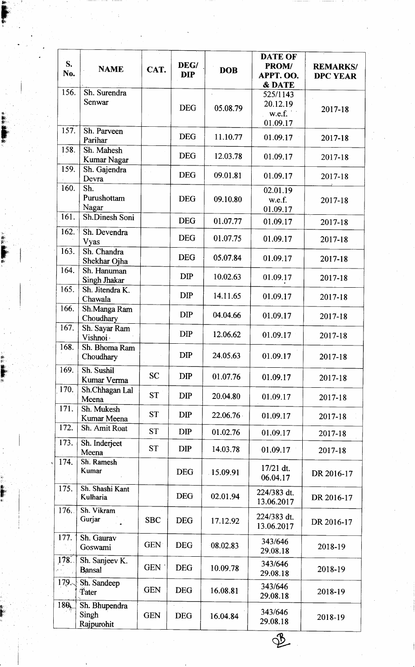| S.<br>No. | <b>NAME</b>                          | CAT.       | DEG/<br><b>DIP</b> | <b>DOB</b> | <b>DATE OF</b><br>PROM/<br>APPT. OO.<br>& DATE | <b>REMARKS/</b><br><b>DPC YEAR</b> |
|-----------|--------------------------------------|------------|--------------------|------------|------------------------------------------------|------------------------------------|
| 156.      | Sh. Surendra                         |            |                    |            | 525/1143                                       |                                    |
|           | Senwar                               |            | <b>DEG</b>         |            | 20.12.19                                       |                                    |
|           |                                      |            |                    | 05.08.79   | w.e.f.                                         | 2017-18                            |
| 157.      | Sh. Parveen                          |            | <b>DEG</b>         | 11.10.77   | 01.09.17<br>01.09.17                           | 2017-18                            |
| 158.      | Parihar<br>Sh. Mahesh                |            |                    |            |                                                |                                    |
|           | Kumar Nagar                          |            | <b>DEG</b>         | 12.03.78   | 01.09.17                                       | 2017-18                            |
| 159.      | Sh. Gajendra<br>Devra                |            | <b>DEG</b>         | 09.01.81   | 01.09.17                                       | 2017-18                            |
| 160.      | Sh.                                  |            |                    |            | 02.01.19                                       |                                    |
|           | Purushottam<br>Nagar                 |            | <b>DEG</b>         | 09.10.80   | w.e.f.                                         | 2017-18                            |
| 161.      | Sh.Dinesh Soni                       |            | <b>DEG</b>         | 01.07.77   | 01.09.17<br>01.09.17                           | 2017-18                            |
| 162.      | Sh. Devendra                         |            |                    |            |                                                |                                    |
|           | Vyas                                 |            | <b>DEG</b>         | 01.07.75   | 01.09.17                                       | 2017-18                            |
| 163.      | Sh. Chandra<br>Shekhar Ojha          |            | <b>DEG</b>         | 05.07.84   | 01.09.17                                       | 2017-18                            |
| 164.      | Sh. Hanuman<br><b>Singh Jhakar</b>   |            | <b>DIP</b>         | 10.02.63   | 01.09.17                                       | 2017-18                            |
| 165.      | Sh. Jitendra K.<br>Chawala           |            | <b>DIP</b>         | 14.11.65   | 01.09.17                                       | 2017-18                            |
| 166.      | Sh.Manga Ram                         |            | <b>DIP</b>         | 04.04.66   | 01.09.17                                       |                                    |
| 167.      | Choudhary<br>Sh. Sayar Ram           |            |                    |            |                                                | 2017-18                            |
|           | Vishnoi:                             |            | <b>DIP</b>         | 12.06.62   | 01.09.17                                       | 2017-18                            |
| 168.      | Sh. Bhoma Ram<br>Choudhary           |            | <b>DIP</b>         | 24.05.63   | 01.09.17                                       | 2017-18                            |
| 169.      | Sh. Sushil<br>Kumar Verma            | <b>SC</b>  | <b>DIP</b>         | 01.07.76   | 01.09.17                                       | 2017-18                            |
| 170.      | Sh.Chhagan Lal<br>Meena              | <b>ST</b>  | <b>DIP</b>         | 20.04.80   | 01.09.17                                       | 2017-18                            |
| 171.      | Sh. Mukesh<br>Kumar Meena            | <b>ST</b>  | <b>DIP</b>         | 22.06.76   | 01.09.17                                       | 2017-18                            |
| 172.      | Sh. Amit Roat                        | <b>ST</b>  | <b>DIP</b>         | 01.02.76   | 01.09.17                                       | 2017-18                            |
| 173.      | Sh. Inderjeet                        | <b>ST</b>  | <b>DIP</b>         | 14.03.78   | 01.09.17                                       | 2017-18                            |
| 174.      | Meena<br>Sh. Ramesh                  |            |                    |            |                                                |                                    |
|           | Kumar                                |            | <b>DEG</b>         | 15.09.91   | 17/21 dt.<br>06.04.17                          | DR 2016-17                         |
| 175.      | Sh. Shashi Kant<br>Kulharia          |            | <b>DEG</b>         | 02.01.94   | 224/383 dt.<br>13.06.2017                      | DR 2016-17                         |
| 176.      | Sh. Vikram<br>Gurjar                 | <b>SBC</b> | <b>DEG</b>         | 17.12.92   | 224/383 dt.<br>13.06.2017                      | DR 2016-17                         |
| 177.      | Sh. Gaurav<br>Goswami                | <b>GEN</b> | <b>DEG</b>         | 08.02.83   | 343/646<br>29.08.18                            | 2018-19                            |
| 178.      | Sh. Sanjeev K.<br><b>Bansal</b>      | GEN :      | <b>DEG</b>         | 10.09.78   | 343/646<br>29.08.18                            | 2018-19                            |
| 179.      | Sh. Sandeep<br><b>Tater</b>          | <b>GEN</b> | <b>DEG</b>         | 16.08.81   | 343/646<br>29.08.18                            | 2018-19                            |
| 180       | Sh. Bhupendra<br>Singh<br>Rajpurohit | <b>GEN</b> | <b>DEG</b>         | 16.04.84   | 343/646<br>29.08.18                            | 2018-19                            |
|           |                                      |            |                    |            |                                                |                                    |

**p** 

 $\frac{1}{2}$ ti #'

s"

 $\frac{1}{2}$ 

!\* l5 fli fr'

! i; Ir' +:

ll. lr' ;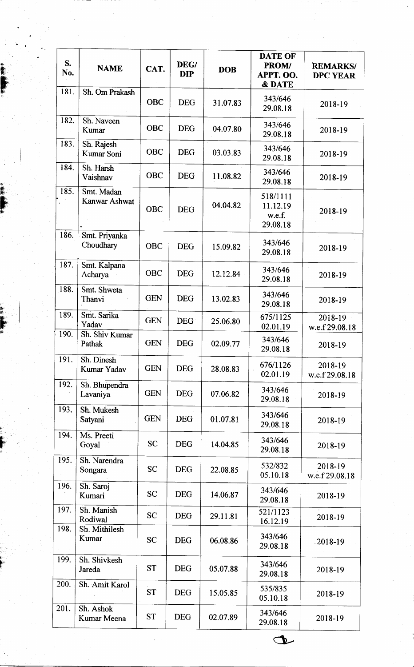| S.<br>No. | <b>NAME</b>                 | CAT.       | DEG/<br><b>DIP</b> | <b>DOB</b> | <b>DATE OF</b><br>PROM/<br>APPT. OO.<br><b>&amp; DATE</b> | <b>REMARKS/</b><br><b>DPC YEAR</b> |
|-----------|-----------------------------|------------|--------------------|------------|-----------------------------------------------------------|------------------------------------|
| 181.      | Sh. Om Prakash              | <b>OBC</b> | <b>DEG</b>         | 31.07.83   | 343/646<br>29.08.18                                       | 2018-19                            |
| 182.      | Sh. Naveen<br>Kumar         | OBC        | <b>DEG</b>         | 04.07.80   | 343/646<br>29.08.18                                       | 2018-19                            |
| 183.      | Sh. Rajesh<br>Kumar Soni    | <b>OBC</b> | <b>DEG</b>         | 03.03.83   | 343/646<br>29.08.18                                       | 2018-19                            |
| 184.      | Sh. Harsh<br>Vaishnav       | <b>OBC</b> | <b>DEG</b>         | 11.08.82   | 343/646<br>29.08.18                                       | 2018-19                            |
| 185.      | Smt. Madan<br>Kanwar Ashwat | OBC        | <b>DEG</b>         | 04.04.82   | 518/1111<br>11.12.19<br>w.e.f.<br>29.08.18                | 2018-19                            |
| 186.      | Smt. Priyanka<br>Choudhary  | <b>OBC</b> | <b>DEG</b>         | 15.09.82   | 343/646<br>29.08.18                                       | 2018-19                            |
| 187.      | Smt. Kalpana<br>Acharya     | <b>OBC</b> | <b>DEG</b>         | 12.12.84   | 343/646<br>29.08.18                                       | 2018-19                            |
| 188.      | Smt. Shweta<br>Thanvi       | <b>GEN</b> | <b>DEG</b>         | 13.02.83   | 343/646<br>29.08.18                                       | 2018-19                            |
| 189.      | Smt. Sarika<br>Yadav        | <b>GEN</b> | <b>DEG</b>         | 25.06.80   | 675/1125<br>02.01.19                                      | 2018-19<br>w.e.f 29.08.18          |
| 190.      | Sh. Shiv Kumar<br>Pathak    | <b>GEN</b> | <b>DEG</b>         | 02.09.77   | 343/646<br>29.08.18                                       | 2018-19                            |
| 191.      | Sh. Dinesh<br>Kumar Yadav   | <b>GEN</b> | <b>DEG</b>         | 28.08.83   | 676/1126<br>02.01.19                                      | 2018-19<br>w.e.f 29.08.18          |
| 192.      | Sh. Bhupendra<br>Lavaniya   | <b>GEN</b> | <b>DEG</b>         | 07.06.82   | 343/646<br>29.08.18                                       | 2018-19                            |
| 193.      | Sh. Mukesh<br>Satyani       | <b>GEN</b> | <b>DEG</b>         | 01.07.81   | 343/646<br>29.08.18                                       | 2018-19                            |
| 194.      | Ms. Preeti<br>Goyal         | <b>SC</b>  | <b>DEG</b>         | 14.04.85   | 343/646<br>29.08.18                                       | 2018-19                            |
| 195.      | Sh. Narendra<br>Songara     | <b>SC</b>  | <b>DEG</b>         | 22.08.85   | 532/832<br>05.10.18                                       | 2018-19<br>w.e.f 29.08.18          |
| 196.      | Sh. Saroj<br>Kumari         | <b>SC</b>  | <b>DEG</b>         | 14.06.87   | 343/646<br>29.08.18                                       | 2018-19                            |
| 197.      | Sh. Manish<br>Rodiwal       | <b>SC</b>  | <b>DEG</b>         | 29.11.81   | 521/1123<br>16.12.19                                      | 2018-19                            |
| 198.      | Sh. Mithilesh<br>Kumar      | <b>SC</b>  | <b>DEG</b>         | 06.08.86   | 343/646<br>29.08.18                                       | $.2018 - 19$                       |
| 199.      | Sh. Shivkesh<br>Jareda      | <b>ST</b>  | <b>DEG</b>         | 05.07.88   | 343/646<br>29.08.18                                       | 2018-19                            |
| 200.      | Sh. Amit Karol              | <b>ST</b>  | <b>DEG</b>         | 15.05.85   | 535/835<br>05.10.18                                       | 2018-19                            |
| 201.      | Sh. Ashok<br>Kumar Meena    | <b>ST</b>  | <b>DEG</b>         | 02.07.89   | 343/646<br>29.08.18                                       | 2018-19                            |

 $\mathbf{r}$ #,

F

{\*. Ffi'.

fi

lH lslr ' Iti  $\blacksquare$ 

i, lr r'

Hi F

o-.